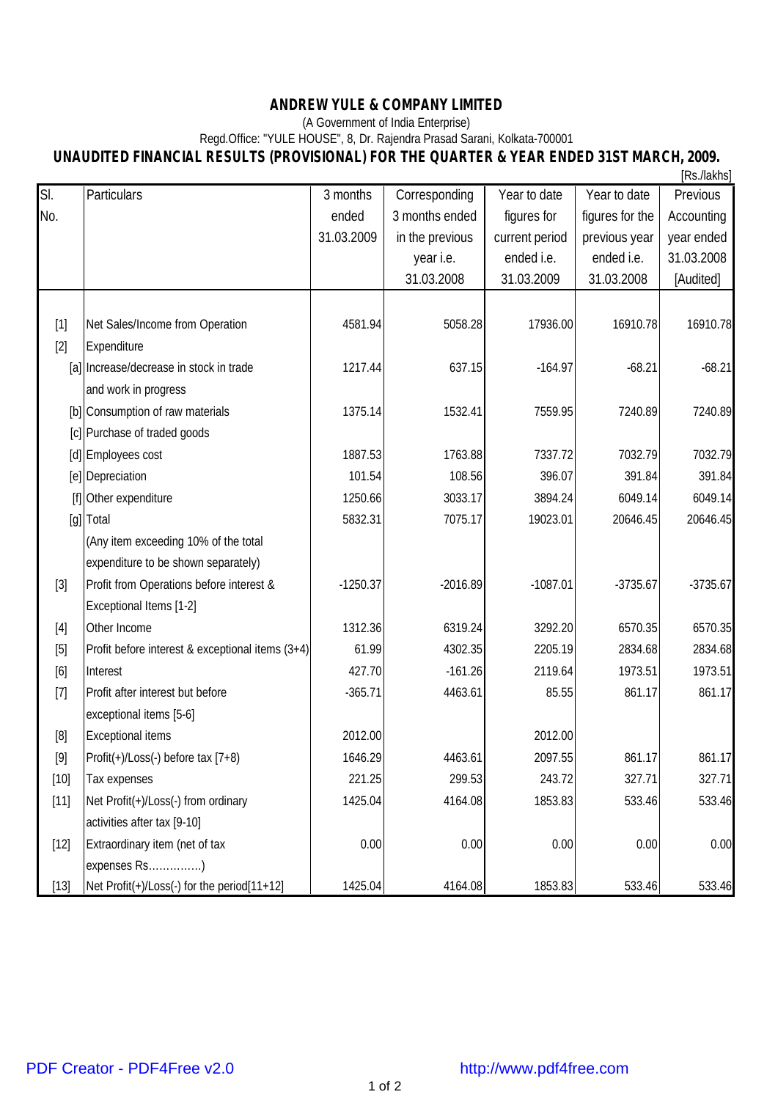## **ANDREW YULE & COMPANY LIMITED**

## (A Government of India Enterprise)

## Regd.Office: "YULE HOUSE", 8, Dr. Rajendra Prasad Sarani, Kolkata-700001 **UNAUDITED FINANCIAL RESULTS (PROVISIONAL) FOR THE QUARTER & YEAR ENDED 31ST MARCH, 2009.**

|        |                                                  |            |                 |                |                 | [Rs./lakhs] |
|--------|--------------------------------------------------|------------|-----------------|----------------|-----------------|-------------|
| SI.    | Particulars                                      | 3 months   | Corresponding   | Year to date   | Year to date    | Previous    |
| No.    |                                                  | ended      | 3 months ended  | figures for    | figures for the | Accounting  |
|        |                                                  | 31.03.2009 | in the previous | current period | previous year   | year ended  |
|        |                                                  |            | year i.e.       | ended i.e.     | ended i.e.      | 31.03.2008  |
|        |                                                  |            | 31.03.2008      | 31.03.2009     | 31.03.2008      | [Audited]   |
|        |                                                  |            |                 |                |                 |             |
| $[1]$  | Net Sales/Income from Operation                  | 4581.94    | 5058.28         | 17936.00       | 16910.78        | 16910.78    |
| $[2]$  | Expenditure                                      |            |                 |                |                 |             |
|        | [a] Increase/decrease in stock in trade          | 1217.44    | 637.15          | $-164.97$      | $-68.21$        | $-68.21$    |
|        | and work in progress                             |            |                 |                |                 |             |
|        | [b] Consumption of raw materials                 | 1375.14    | 1532.41         | 7559.95        | 7240.89         | 7240.89     |
|        | [c] Purchase of traded goods                     |            |                 |                |                 |             |
|        | [d] Employees cost                               | 1887.53    | 1763.88         | 7337.72        | 7032.79         | 7032.79     |
|        | [e] Depreciation                                 | 101.54     | 108.56          | 396.07         | 391.84          | 391.84      |
|        | [f] Other expenditure                            | 1250.66    | 3033.17         | 3894.24        | 6049.14         | 6049.14     |
|        | [g] Total                                        | 5832.31    | 7075.17         | 19023.01       | 20646.45        | 20646.45    |
|        | (Any item exceeding 10% of the total             |            |                 |                |                 |             |
|        | expenditure to be shown separately)              |            |                 |                |                 |             |
| $[3]$  | Profit from Operations before interest &         | $-1250.37$ | $-2016.89$      | $-1087.01$     | $-3735.67$      | $-3735.67$  |
|        | Exceptional Items [1-2]                          |            |                 |                |                 |             |
| $[4]$  | Other Income                                     | 1312.36    | 6319.24         | 3292.20        | 6570.35         | 6570.35     |
| $[5]$  | Profit before interest & exceptional items (3+4) | 61.99      | 4302.35         | 2205.19        | 2834.68         | 2834.68     |
| $[6]$  | Interest                                         | 427.70     | $-161.26$       | 2119.64        | 1973.51         | 1973.51     |
| $[7]$  | Profit after interest but before                 | $-365.71$  | 4463.61         | 85.55          | 861.17          | 861.17      |
|        | exceptional items [5-6]                          |            |                 |                |                 |             |
| [8]    | Exceptional items                                | 2012.00    |                 | 2012.00        |                 |             |
| $[9]$  | Profit(+)/Loss(-) before tax [7+8)               | 1646.29    | 4463.61         | 2097.55        | 861.17          | 861.17      |
| $[10]$ | Tax expenses                                     | 221.25     | 299.53          | 243.72         | 327.71          | 327.71      |
| $[11]$ | Net Profit(+)/Loss(-) from ordinary              | 1425.04    | 4164.08         | 1853.83        | 533.46          | 533.46      |
|        | activities after tax [9-10]                      |            |                 |                |                 |             |
| $[12]$ | Extraordinary item (net of tax                   | 0.00       | 0.00            | 0.00           | 0.00            | 0.00        |
|        | expenses Rs)                                     |            |                 |                |                 |             |
| $[13]$ | Net Profit(+)/Loss(-) for the period[11+12]      | 1425.04    | 4164.08         | 1853.83        | 533.46          | 533.46      |